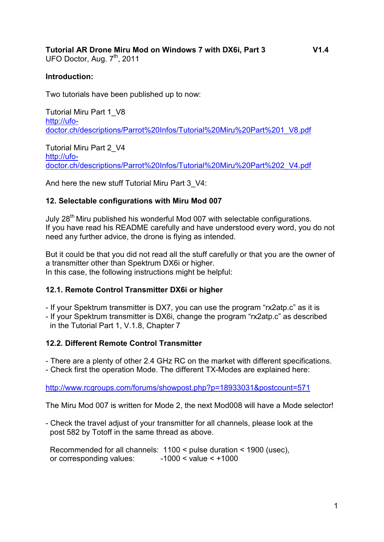**Tutorial AR Drone Miru Mod on Windows 7 with DX6i, Part 3 V1.4** 

UFO Doctor, Aug.  $7<sup>th</sup>$ , 2011

### **Introduction:**

Two tutorials have been published up to now:

Tutorial Miru Part 1\_V8 http://ufodoctor.ch/descriptions/Parrot%20Infos/Tutorial%20Miru%20Part%201\_V8.pdf

Tutorial Miru Part 2\_V4 http://ufodoctor.ch/descriptions/Parrot%20Infos/Tutorial%20Miru%20Part%202\_V4.pdf

And here the new stuff Tutorial Miru Part 3 V4:

# **12. Selectable configurations with Miru Mod 007**

July  $28<sup>th</sup>$  Miru published his wonderful Mod 007 with selectable configurations. If you have read his README carefully and have understood every word, you do not need any further advice, the drone is flying as intended.

But it could be that you did not read all the stuff carefully or that you are the owner of a transmitter other than Spektrum DX6i or higher. In this case, the following instructions might be helpful:

# **12.1. Remote Control Transmitter DX6i or higher**

- If your Spektrum transmitter is DX7, you can use the program "rx2atp.c" as it is
- If your Spektrum transmitter is DX6i, change the program "rx2atp.c" as described in the Tutorial Part 1, V.1.8, Chapter 7

# **12.2. Different Remote Control Transmitter**

- There are a plenty of other 2.4 GHz RC on the market with different specifications. - Check first the operation Mode. The different TX-Modes are explained here:

http://www.rcgroups.com/forums/showpost.php?p=18933031&postcount=571

The Miru Mod 007 is written for Mode 2, the next Mod008 will have a Mode selector!

- Check the travel adjust of your transmitter for all channels, please look at the post 582 by Totoff in the same thread as above.

 Recommended for all channels: 1100 < pulse duration < 1900 (usec), or corresponding values:  $-1000 <$  value  $< +1000$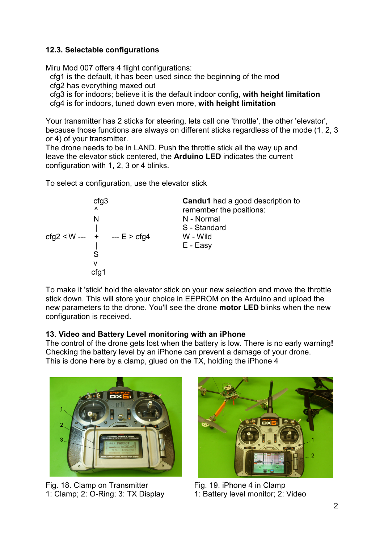### **12.3. Selectable configurations**

Miru Mod 007 offers 4 flight configurations:

 cfg1 is the default, it has been used since the beginning of the mod cfg2 has everything maxed out

 cfg3 is for indoors; believe it is the default indoor config, **with height limitation** cfg4 is for indoors, tuned down even more, **with height limitation** 

Your transmitter has 2 sticks for steering, lets call one 'throttle', the other 'elevator', because those functions are always on different sticks regardless of the mode (1, 2, 3 or 4) of your transmitter.

The drone needs to be in LAND. Push the throttle stick all the way up and leave the elevator stick centered, the **Arduino LED** indicates the current configuration with 1, 2, 3 or 4 blinks.

To select a configuration, use the elevator stick



To make it 'stick' hold the elevator stick on your new selection and move the throttle stick down. This will store your choice in EEPROM on the Arduino and upload the new parameters to the drone. You'll see the drone **motor LED** blinks when the new configuration is received.

# **13. Video and Battery Level monitoring with an iPhone**

The control of the drone gets lost when the battery is low. There is no early warning**!** Checking the battery level by an iPhone can prevent a damage of your drone. This is done here by a clamp, glued on the TX, holding the iPhone 4



Fig. 18. Clamp on Transmitter 1: Clamp; 2: O-Ring; 3: TX Display



Fig. 19. iPhone 4 in Clamp 1: Battery level monitor; 2: Video